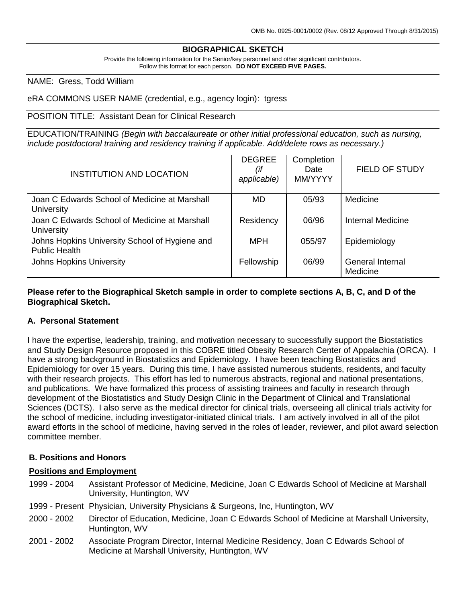# **BIOGRAPHICAL SKETCH**

Provide the following information for the Senior/key personnel and other significant contributors. Follow this format for each person. **DO NOT EXCEED FIVE PAGES.**

#### NAME: Gress, Todd William

#### eRA COMMONS USER NAME (credential, e.g., agency login): tgress

#### POSITION TITLE: Assistant Dean for Clinical Research

EDUCATION/TRAINING *(Begin with baccalaureate or other initial professional education, such as nursing, include postdoctoral training and residency training if applicable. Add/delete rows as necessary.)*

| <b>INSTITUTION AND LOCATION</b>                                        | <b>DEGREE</b><br>(if<br>applicable) | Completion<br>Date<br>MM/YYYY | <b>FIELD OF STUDY</b>        |
|------------------------------------------------------------------------|-------------------------------------|-------------------------------|------------------------------|
| Joan C Edwards School of Medicine at Marshall<br>University            | <b>MD</b>                           | 05/93                         | Medicine                     |
| Joan C Edwards School of Medicine at Marshall<br>University            | Residency                           | 06/96                         | <b>Internal Medicine</b>     |
| Johns Hopkins University School of Hygiene and<br><b>Public Health</b> | <b>MPH</b>                          | 055/97                        | Epidemiology                 |
| <b>Johns Hopkins University</b>                                        | Fellowship                          | 06/99                         | General Internal<br>Medicine |

**Please refer to the Biographical Sketch sample in order to complete sections A, B, C, and D of the Biographical Sketch.**

#### **A. Personal Statement**

I have the expertise, leadership, training, and motivation necessary to successfully support the Biostatistics and Study Design Resource proposed in this COBRE titled Obesity Research Center of Appalachia (ORCA). I have a strong background in Biostatistics and Epidemiology. I have been teaching Biostatistics and Epidemiology for over 15 years. During this time, I have assisted numerous students, residents, and faculty with their research projects. This effort has led to numerous abstracts, regional and national presentations, and publications. We have formalized this process of assisting trainees and faculty in research through development of the Biostatistics and Study Design Clinic in the Department of Clinical and Translational Sciences (DCTS). I also serve as the medical director for clinical trials, overseeing all clinical trials activity for the school of medicine, including investigator-initiated clinical trials. I am actively involved in all of the pilot award efforts in the school of medicine, having served in the roles of leader, reviewer, and pilot award selection committee member.

#### **B. Positions and Honors**

#### **Positions and Employment**

- 1999 2004 Assistant Professor of Medicine, Medicine, Joan C Edwards School of Medicine at Marshall University, Huntington, WV
- 1999 Present Physician, University Physicians & Surgeons, Inc, Huntington, WV
- 2000 2002 Director of Education, Medicine, Joan C Edwards School of Medicine at Marshall University, Huntington, WV
- 2001 2002 Associate Program Director, Internal Medicine Residency, Joan C Edwards School of Medicine at Marshall University, Huntington, WV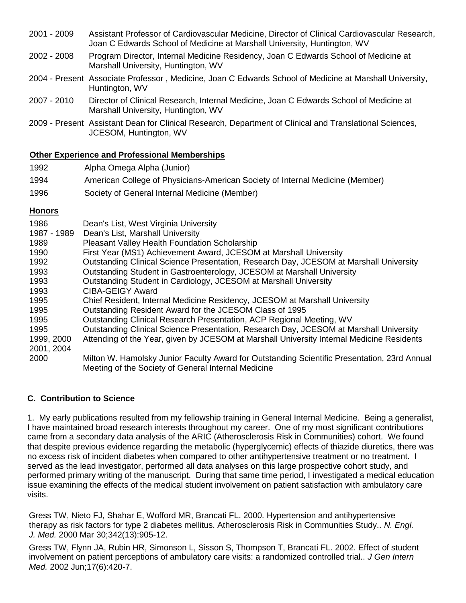- 2001 2009 Assistant Professor of Cardiovascular Medicine, Director of Clinical Cardiovascular Research, Joan C Edwards School of Medicine at Marshall University, Huntington, WV
- 2002 2008 Program Director, Internal Medicine Residency, Joan C Edwards School of Medicine at Marshall University, Huntington, WV
- 2004 Present Associate Professor , Medicine, Joan C Edwards School of Medicine at Marshall University, Huntington, WV
- 2007 2010 Director of Clinical Research, Internal Medicine, Joan C Edwards School of Medicine at Marshall University, Huntington, WV
- 2009 Present Assistant Dean for Clinical Research, Department of Clinical and Translational Sciences, JCESOM, Huntington, WV

## **Other Experience and Professional Memberships**

| 1992 | Alpha Omega Alpha (Junior)                                                    |
|------|-------------------------------------------------------------------------------|
| 1994 | American College of Physicians-American Society of Internal Medicine (Member) |
| 1996 | Society of General Internal Medicine (Member)                                 |

## **Honors**

| 1986        | Dean's List, West Virginia University                                                        |
|-------------|----------------------------------------------------------------------------------------------|
| 1987 - 1989 | Dean's List, Marshall University                                                             |
| 1989        | <b>Pleasant Valley Health Foundation Scholarship</b>                                         |
| 1990        | First Year (MS1) Achievement Award, JCESOM at Marshall University                            |
| 1992        | Outstanding Clinical Science Presentation, Research Day, JCESOM at Marshall University       |
| 1993        | Outstanding Student in Gastroenterology, JCESOM at Marshall University                       |
| 1993        | Outstanding Student in Cardiology, JCESOM at Marshall University                             |
| 1993        | <b>CIBA-GEIGY Award</b>                                                                      |
| 1995        | Chief Resident, Internal Medicine Residency, JCESOM at Marshall University                   |
| 1995        | Outstanding Resident Award for the JCESOM Class of 1995                                      |
| 1995        | Outstanding Clinical Research Presentation, ACP Regional Meeting, WV                         |
| 1995        | Outstanding Clinical Science Presentation, Research Day, JCESOM at Marshall University       |
| 1999, 2000  | Attending of the Year, given by JCESOM at Marshall University Internal Medicine Residents    |
| 2001, 2004  |                                                                                              |
| 2000        | Milton W. Hamolsky Junior Faculty Award for Outstanding Scientific Presentation, 23rd Annual |
|             | Meeting of the Society of General Internal Medicine                                          |

# **C. Contribution to Science**

1. My early publications resulted from my fellowship training in General Internal Medicine. Being a generalist, I have maintained broad research interests throughout my career. One of my most significant contributions came from a secondary data analysis of the ARIC (Atherosclerosis Risk in Communities) cohort. We found that despite previous evidence regarding the metabolic (hyperglycemic) effects of thiazide diuretics, there was no excess risk of incident diabetes when compared to other antihypertensive treatment or no treatment. I served as the lead investigator, performed all data analyses on this large prospective cohort study, and performed primary writing of the manuscript. During that same time period, I investigated a medical education issue examining the effects of the medical student involvement on patient satisfaction with ambulatory care visits.

Gress TW, Nieto FJ, Shahar E, Wofford MR, Brancati FL. 2000. Hypertension and antihypertensive therapy as risk factors for type 2 diabetes mellitus. Atherosclerosis Risk in Communities Study.. *N. Engl. J. Med.* 2000 Mar 30;342(13):905-12.

Gress TW, Flynn JA, Rubin HR, Simonson L, Sisson S, Thompson T, Brancati FL. 2002. Effect of student involvement on patient perceptions of ambulatory care visits: a randomized controlled trial.. *J Gen Intern Med.* 2002 Jun;17(6):420-7.